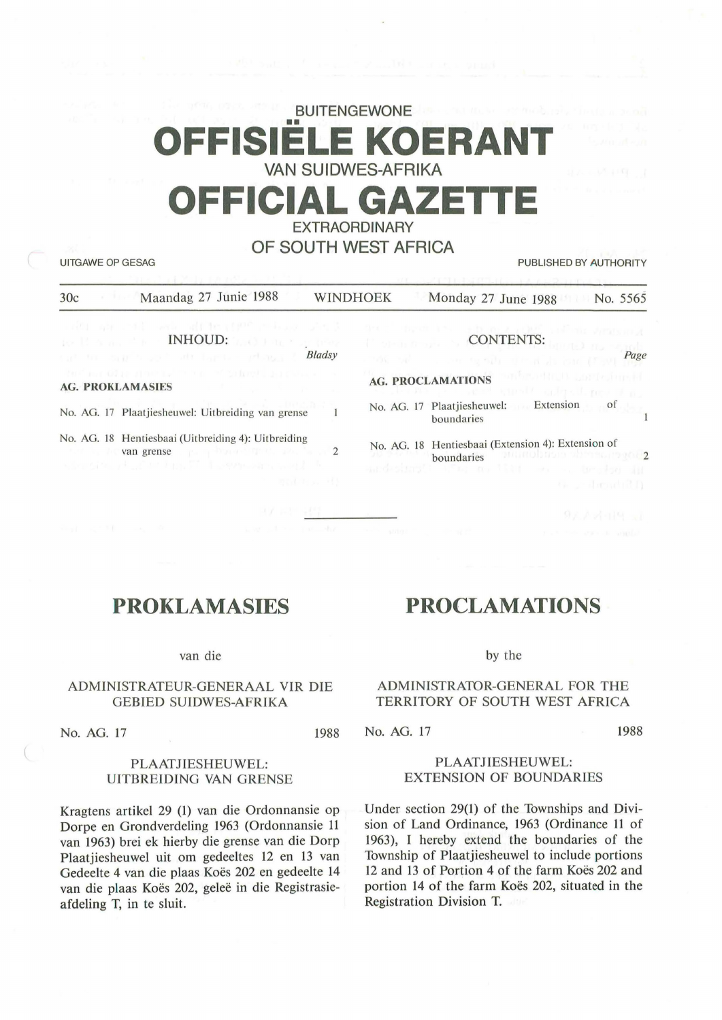# **BUITENGEWONE**  •• **OFFISIELE KOERANT VAN SUIDWES-AFRIKA OFFICIAL GAZETT EXTRAORDINARY**

# **OF SOUTH WEST AFRICA**

UITGAWE OP GESAG PUBLISHED BY AUTHORITY

| Maandag 27 Junie 1988<br>30c                                                                                                                                                                                                                                        | WINDHOEK           |                                                  | Monday 27 June 1988                                                                                                                                                   | No. 5565 |
|---------------------------------------------------------------------------------------------------------------------------------------------------------------------------------------------------------------------------------------------------------------------|--------------------|--------------------------------------------------|-----------------------------------------------------------------------------------------------------------------------------------------------------------------------|----------|
| all on the way although where the light<br><b>IN REAL PROPERTY AND IN A SERVICE IN A SERVICE IN A SERVICE IN A SERVICE IN A SERVICE IN A SERVICE IN A SERVICE</b><br>out to man had att barter of mer<br>the four Gian arming the reserve to free to a conserve the | <b>Bladsy</b>      | the filling and head<br><sup>12</sup> Shop & spe | administration and one sympathy<br>CONTENTS:<br>borred no wand<br>of a control deal and the<br>AG. PROCLAMATIONS THE RESIDENCE IN THE RESIDENCE OF REAL PROCLAMATIONS | Page     |
| <b>AG. PROKLAMASIES</b>                                                                                                                                                                                                                                             |                    |                                                  | The man are more threat contract present at<br>No. AG. 17 Plaatjiesheuwel: Extension                                                                                  | of       |
| No. AG. 17 Plaatjiesheuwel: Uitbreiding van grense                                                                                                                                                                                                                  |                    |                                                  | boundaries                                                                                                                                                            |          |
| No. AG. 18 Hentiesbaai (Uitbreiding 4): Uitbreiding<br>van grense de programma de la programma de la programma de la programma de la programma de la programma de la<br>silversion of at in Fig. IT. I associate world be                                           | 2                  |                                                  | No. AG. 18 Hentiesbaai (Extension 4): Extension of<br>boundaries antimobacted the company<br>ardesing the matter as a broke an                                        |          |
|                                                                                                                                                                                                                                                                     | <b>BELL MONTHS</b> |                                                  | <b>Ale can discondition</b>                                                                                                                                           |          |

# **PROKLAMASIES**

van die

## ADMINISTRATEUR-GENERAAL VIR DIE GEBIED SUIDWES-AFRIKA

No. AG. 17 1988

# by the

# ADMINISTRATOR-GENERAL FOR THE TERRITORY OF SOUTH WEST AFRICA

**PROCLAMATIONS** 

No. AG. 17 1988

### PLAATJIESHEUWEL: UITBREIDING VAN GRENSE

Kragtens artikel 29 (1) van die Ordonnansie op Dorpe en Grondverdeling 1963 (Ordonnansie 11 van 1963) brei ek hierby die grense van die Dorp Plaatjiesheuwel uit om gedeeltes 12 en 13 van Gedeelte 4 van die plaas Koës 202 en gedeelte 14 van die plaas Koës 202, geleë in die Registrasieafdeling T, in te sluit.

PLAATJIESHEUWEL: EXTENSION OF BOUNDARIES

Under section 29(1) of the Townships and Division of Land Ordinance, 1963 (Ordinance 11 of 1963), I hereby extend the boundaries of the Township of Plaatjiesheuwel to include portions 12 and 13 of Portion 4 of the farm Koës 202 and portion 14 of the farm Koës 202, situated in the Registration Division T.